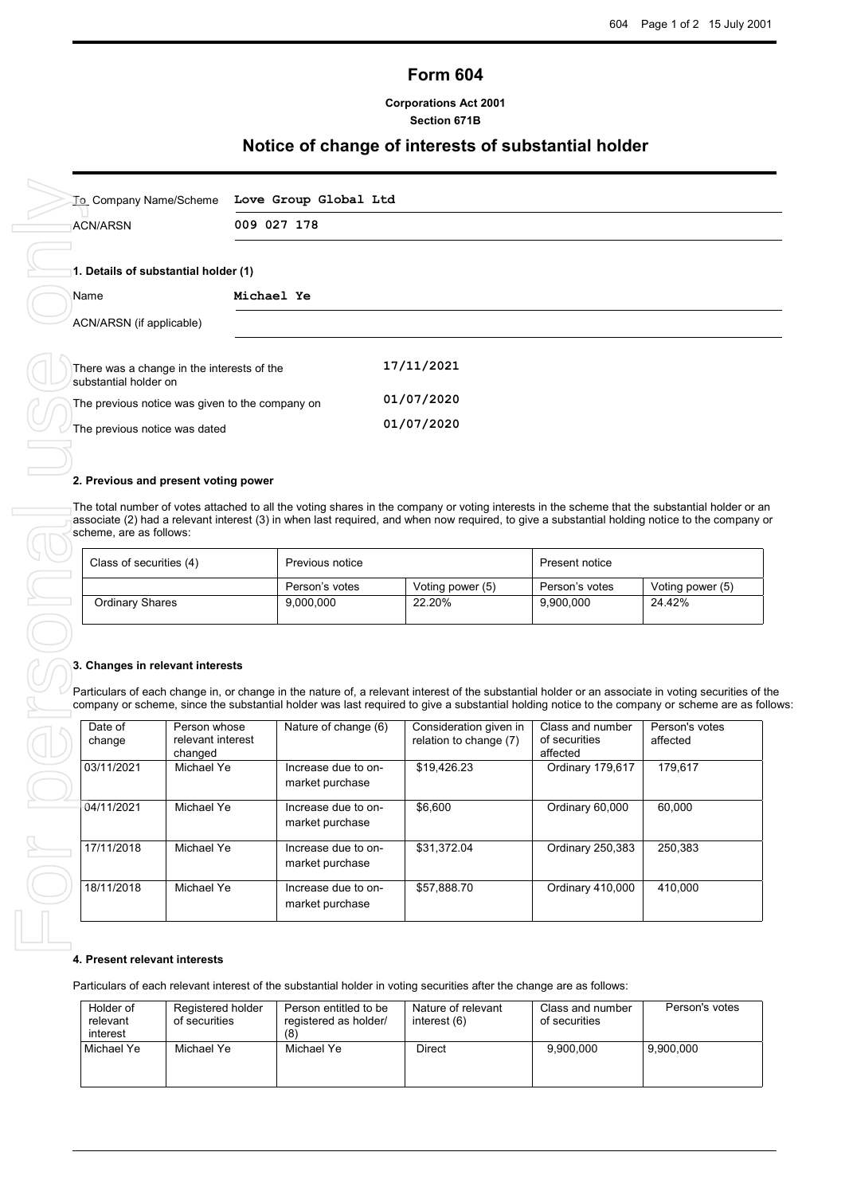# **Form 604**

**Corporations Act 2001 Section 671B**

# **Notice of change of interests of substantial holder**

| <b>ACN/ARSN</b>                    |                                                 | 009 027 178                                                                                                                                                                                                                                                                                                                   |                                                  |                                   |                                               |
|------------------------------------|-------------------------------------------------|-------------------------------------------------------------------------------------------------------------------------------------------------------------------------------------------------------------------------------------------------------------------------------------------------------------------------------|--------------------------------------------------|-----------------------------------|-----------------------------------------------|
|                                    | 1. Details of substantial holder (1)            |                                                                                                                                                                                                                                                                                                                               |                                                  |                                   |                                               |
| Name                               |                                                 | Michael Ye                                                                                                                                                                                                                                                                                                                    |                                                  |                                   |                                               |
| ACN/ARSN (if applicable)           |                                                 |                                                                                                                                                                                                                                                                                                                               |                                                  |                                   |                                               |
| substantial holder on              | There was a change in the interests of the      |                                                                                                                                                                                                                                                                                                                               | 17/11/2021                                       |                                   |                                               |
|                                    | The previous notice was given to the company on |                                                                                                                                                                                                                                                                                                                               | 01/07/2020                                       |                                   |                                               |
| The previous notice was dated      |                                                 |                                                                                                                                                                                                                                                                                                                               | 01/07/2020                                       |                                   |                                               |
|                                    |                                                 |                                                                                                                                                                                                                                                                                                                               |                                                  |                                   |                                               |
|                                    |                                                 |                                                                                                                                                                                                                                                                                                                               |                                                  |                                   |                                               |
|                                    | 2. Previous and present voting power            |                                                                                                                                                                                                                                                                                                                               |                                                  |                                   |                                               |
|                                    |                                                 | The total number of votes attached to all the voting shares in the company or voting interests in the scheme that the substantial holder or an                                                                                                                                                                                |                                                  |                                   |                                               |
|                                    |                                                 | associate (2) had a relevant interest (3) in when last required, and when now required, to give a substantial holding notice to the company or                                                                                                                                                                                |                                                  |                                   |                                               |
| scheme, are as follows:            |                                                 |                                                                                                                                                                                                                                                                                                                               |                                                  |                                   |                                               |
| Class of securities (4)            |                                                 | Previous notice                                                                                                                                                                                                                                                                                                               |                                                  | Present notice                    |                                               |
|                                    |                                                 | Person's votes                                                                                                                                                                                                                                                                                                                | Voting power (5)                                 | Person's votes                    | Voting power (5)                              |
| <b>Ordinary Shares</b>             |                                                 | 9,000,000                                                                                                                                                                                                                                                                                                                     | 22.20%                                           | 9,900,000                         | 24.42%                                        |
|                                    |                                                 |                                                                                                                                                                                                                                                                                                                               |                                                  |                                   |                                               |
| 3. Changes in relevant interests   |                                                 |                                                                                                                                                                                                                                                                                                                               |                                                  |                                   |                                               |
| Date of<br>change                  | Person whose<br>relevant interest               | Particulars of each change in, or change in the nature of, a relevant interest of the substantial holder or an associate in voting securities of the<br>company or scheme, since the substantial holder was last required to give a substantial holding notice to the company or scheme are as follow<br>Nature of change (6) | Consideration given in<br>relation to change (7) | Class and number<br>of securities | affected                                      |
|                                    | changed                                         |                                                                                                                                                                                                                                                                                                                               |                                                  | affected                          |                                               |
| 03/11/2021                         | Michael Ye                                      | Increase due to on-                                                                                                                                                                                                                                                                                                           | \$19,426.23                                      | Ordinary 179,617                  | 179,617                                       |
|                                    |                                                 | market purchase                                                                                                                                                                                                                                                                                                               |                                                  |                                   |                                               |
| 04/11/2021                         | Michael Ye                                      | Increase due to on-                                                                                                                                                                                                                                                                                                           | \$6,600                                          | Ordinary 60,000                   | 60.000                                        |
|                                    |                                                 | market purchase                                                                                                                                                                                                                                                                                                               |                                                  |                                   |                                               |
| 17/11/2018                         | Michael Ye                                      | Increase due to on-                                                                                                                                                                                                                                                                                                           | \$31,372.04                                      | Ordinary 250,383                  | 250,383                                       |
|                                    |                                                 | market purchase                                                                                                                                                                                                                                                                                                               |                                                  |                                   |                                               |
| 18/11/2018                         | Michael Ye                                      | Increase due to on-                                                                                                                                                                                                                                                                                                           | \$57,888.70                                      | Ordinary 410,000                  | 410,000                                       |
|                                    |                                                 | market purchase                                                                                                                                                                                                                                                                                                               |                                                  |                                   |                                               |
|                                    |                                                 |                                                                                                                                                                                                                                                                                                                               |                                                  |                                   |                                               |
|                                    |                                                 |                                                                                                                                                                                                                                                                                                                               |                                                  |                                   |                                               |
| 4. Present relevant interests      |                                                 | Particulars of each relevant interest of the substantial holder in voting securities after the change are as follows:                                                                                                                                                                                                         |                                                  |                                   |                                               |
| Holder of                          | Registered holder                               | Person entitled to be                                                                                                                                                                                                                                                                                                         | Nature of relevant                               | Class and number                  |                                               |
| relevant<br>interest<br>Michael Ye | of securities<br>Michael Ye                     | registered as holder/<br>(8)<br>Michael Ye                                                                                                                                                                                                                                                                                    | interest (6)<br>Direct                           | of securities<br>9,900,000        | Person's votes<br>Person's votes<br>9,900,000 |

### **2. Previous and present voting power**

| Class of securities (4) | Previous notice |                  | Present notice |                  |
|-------------------------|-----------------|------------------|----------------|------------------|
|                         | Person's votes  | Voting power (5) | Person's votes | Voting power (5) |
| Ordinary Shares         | 9,000,000       | 22.20%           | 9,900,000      | 24.42%           |

### **3. Changes in relevant interests**

| Date of<br>change | Person whose<br>relevant interest<br>changed | Nature of change (6)                   | Consideration given in<br>relation to change (7) | Class and number<br>of securities<br>affected | Person's votes<br>affected |
|-------------------|----------------------------------------------|----------------------------------------|--------------------------------------------------|-----------------------------------------------|----------------------------|
| 03/11/2021        | Michael Ye                                   | Increase due to on-<br>market purchase | \$19,426.23                                      | Ordinary 179,617                              | 179.617                    |
| 04/11/2021        | Michael Ye                                   | Increase due to on-<br>market purchase | \$6,600                                          | Ordinary 60,000                               | 60.000                     |
| 17/11/2018        | Michael Ye                                   | Increase due to on-<br>market purchase | \$31,372.04                                      | <b>Ordinary 250,383</b>                       | 250,383                    |
| 18/11/2018        | Michael Ye                                   | Increase due to on-<br>market purchase | \$57,888.70                                      | Ordinary 410,000                              | 410,000                    |

### **4. Present relevant interests**

| Holder of<br>relevant<br>interest | Registered holder<br>of securities | Person entitled to be<br>registered as holder/<br>(8) | Nature of relevant<br>interest (6) | Class and number<br>of securities | Person's votes |
|-----------------------------------|------------------------------------|-------------------------------------------------------|------------------------------------|-----------------------------------|----------------|
| Michael Ye                        | Michael Ye                         | Michael Ye                                            | Direct                             | 9.900.000                         | 9.900.000      |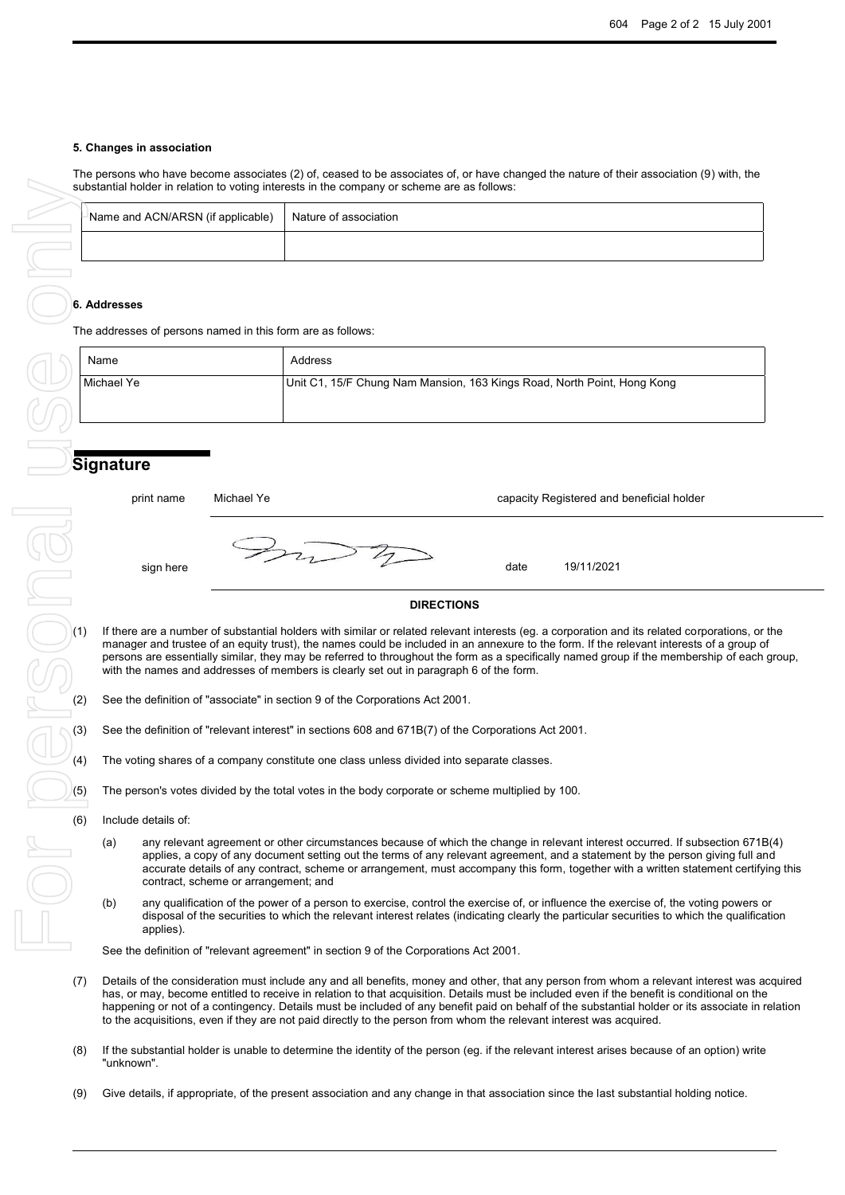### **5. Changes in association**

The persons who have become associates (2) of, ceased to be associates of, or have changed the nature of their association (9) with, the substantial holder in relation to voting interests in the company or scheme are as follows:

| Name and ACN/ARSN (if applicable) Nature of association |  |
|---------------------------------------------------------|--|
|                                                         |  |

### **6. Addresses**

The addresses of persons named in this form are as follows:

| Name       | Address                                                                 |
|------------|-------------------------------------------------------------------------|
| Michael Ye | Unit C1, 15/F Chung Nam Mansion, 163 Kings Road, North Point, Hong Kong |

## **Signature**

print name Michael Ye capacity Registered and beneficial holder

sign here date 19/11/2021

### **DIRECTIONS**

- If there are a number of substantial holders with similar or related relevant interests (eg. a corporation and its related corporations, or the manager and trustee of an equity trust), the names could be included in an annexure to the form. If the relevant interests of a group of persons are essentially similar, they may be referred to throughout the form as a specifically named group if the membership of each group, with the names and addresses of members is clearly set out in paragraph 6 of the form.
- (2) See the definition of "associate" in section 9 of the Corporations Act 2001.
- (3) See the definition of "relevant interest" in sections 608 and 671B(7) of the Corporations Act 2001.
- (4) The voting shares of a company constitute one class unless divided into separate classes.
- $(5)$  The person's votes divided by the total votes in the body corporate or scheme multiplied by 100.
- (6) Include details of:
	- (a) any relevant agreement or other circumstances because of which the change in relevant interest occurred. If subsection 671B(4) applies, a copy of any document setting out the terms of any relevant agreement, and a statement by the person giving full and accurate details of any contract, scheme or arrangement, must accompany this form, together with a written statement certifying this contract, scheme or arrangement; and
	- (b) any qualification of the power of a person to exercise, control the exercise of, or influence the exercise of, the voting powers or disposal of the securities to which the relevant interest relates (indicating clearly the particular securities to which the qualification applies).

See the definition of "relevant agreement" in section 9 of the Corporations Act 2001.

- (7) Details of the consideration must include any and all benefits, money and other, that any person from whom a relevant interest was acquired has, or may, become entitled to receive in relation to that acquisition. Details must be included even if the benefit is conditional on the happening or not of a contingency. Details must be included of any benefit paid on behalf of the substantial holder or its associate in relation to the acquisitions, even if they are not paid directly to the person from whom the relevant interest was acquired.
- (8) If the substantial holder is unable to determine the identity of the person (eg. if the relevant interest arises because of an option) write "unknown".
-